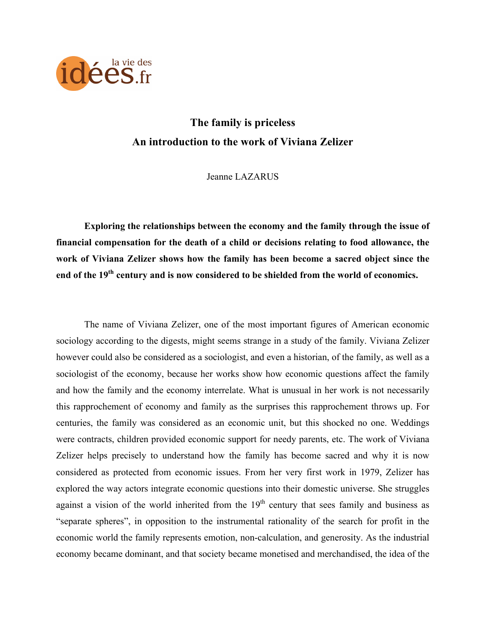

# **The family is priceless An introduction to the work of Viviana Zelizer**

Jeanne LAZARUS

**Exploring the relationships between the economy and the family through the issue of financial compensation for the death of a child or decisions relating to food allowance, the work of Viviana Zelizer shows how the family has been become a sacred object since the end of the 19th century and is now considered to be shielded from the world of economics.** 

The name of Viviana Zelizer, one of the most important figures of American economic sociology according to the digests, might seems strange in a study of the family. Viviana Zelizer however could also be considered as a sociologist, and even a historian, of the family, as well as a sociologist of the economy, because her works show how economic questions affect the family and how the family and the economy interrelate. What is unusual in her work is not necessarily this rapprochement of economy and family as the surprises this rapprochement throws up. For centuries, the family was considered as an economic unit, but this shocked no one. Weddings were contracts, children provided economic support for needy parents, etc. The work of Viviana Zelizer helps precisely to understand how the family has become sacred and why it is now considered as protected from economic issues. From her very first work in 1979, Zelizer has explored the way actors integrate economic questions into their domestic universe. She struggles against a vision of the world inherited from the  $19<sup>th</sup>$  century that sees family and business as "separate spheres", in opposition to the instrumental rationality of the search for profit in the economic world the family represents emotion, non-calculation, and generosity. As the industrial economy became dominant, and that society became monetised and merchandised, the idea of the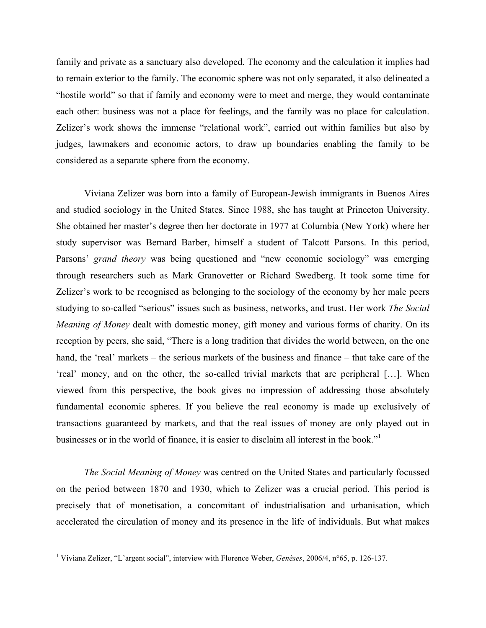family and private as a sanctuary also developed. The economy and the calculation it implies had to remain exterior to the family. The economic sphere was not only separated, it also delineated a "hostile world" so that if family and economy were to meet and merge, they would contaminate each other: business was not a place for feelings, and the family was no place for calculation. Zelizer's work shows the immense "relational work", carried out within families but also by judges, lawmakers and economic actors, to draw up boundaries enabling the family to be considered as a separate sphere from the economy.

Viviana Zelizer was born into a family of European-Jewish immigrants in Buenos Aires and studied sociology in the United States. Since 1988, she has taught at Princeton University. She obtained her master's degree then her doctorate in 1977 at Columbia (New York) where her study supervisor was Bernard Barber, himself a student of Talcott Parsons. In this period, Parsons' *grand theory* was being questioned and "new economic sociology" was emerging through researchers such as Mark Granovetter or Richard Swedberg. It took some time for Zelizer's work to be recognised as belonging to the sociology of the economy by her male peers studying to so-called "serious" issues such as business, networks, and trust. Her work *The Social Meaning of Money* dealt with domestic money, gift money and various forms of charity. On its reception by peers, she said, "There is a long tradition that divides the world between, on the one hand, the 'real' markets – the serious markets of the business and finance – that take care of the 'real' money, and on the other, the so-called trivial markets that are peripheral […]. When viewed from this perspective, the book gives no impression of addressing those absolutely fundamental economic spheres. If you believe the real economy is made up exclusively of transactions guaranteed by markets, and that the real issues of money are only played out in businesses or in the world of finance, it is easier to disclaim all interest in the book."<sup>1</sup>

*The Social Meaning of Money* was centred on the United States and particularly focussed on the period between 1870 and 1930, which to Zelizer was a crucial period. This period is precisely that of monetisation, a concomitant of industrialisation and urbanisation, which accelerated the circulation of money and its presence in the life of individuals. But what makes

 <sup>1</sup> Viviana Zelizer, "L'argent social", interview with Florence Weber, *Genèses*, 2006/4, n°65, p. 126-137.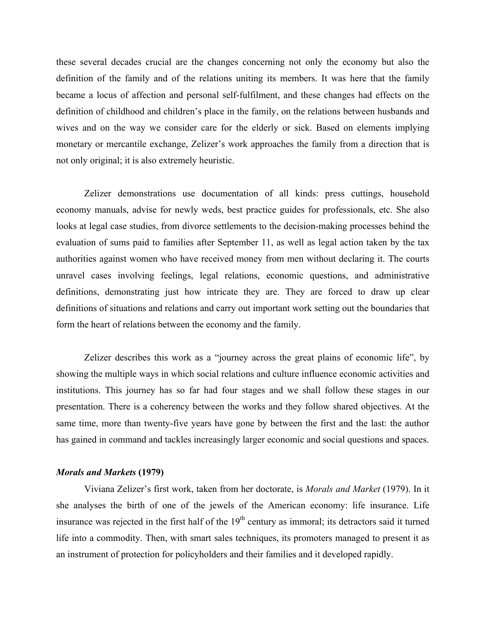these several decades crucial are the changes concerning not only the economy but also the definition of the family and of the relations uniting its members. It was here that the family became a locus of affection and personal self-fulfilment, and these changes had effects on the definition of childhood and children's place in the family, on the relations between husbands and wives and on the way we consider care for the elderly or sick. Based on elements implying monetary or mercantile exchange, Zelizer's work approaches the family from a direction that is not only original; it is also extremely heuristic.

Zelizer demonstrations use documentation of all kinds: press cuttings, household economy manuals, advise for newly weds, best practice guides for professionals, etc. She also looks at legal case studies, from divorce settlements to the decision-making processes behind the evaluation of sums paid to families after September 11, as well as legal action taken by the tax authorities against women who have received money from men without declaring it. The courts unravel cases involving feelings, legal relations, economic questions, and administrative definitions, demonstrating just how intricate they are. They are forced to draw up clear definitions of situations and relations and carry out important work setting out the boundaries that form the heart of relations between the economy and the family.

Zelizer describes this work as a "journey across the great plains of economic life", by showing the multiple ways in which social relations and culture influence economic activities and institutions. This journey has so far had four stages and we shall follow these stages in our presentation. There is a coherency between the works and they follow shared objectives. At the same time, more than twenty-five years have gone by between the first and the last: the author has gained in command and tackles increasingly larger economic and social questions and spaces.

## *Morals and Markets* **(1979)**

Viviana Zelizer's first work, taken from her doctorate, is *Morals and Market* (1979). In it she analyses the birth of one of the jewels of the American economy: life insurance. Life insurance was rejected in the first half of the 19<sup>th</sup> century as immoral; its detractors said it turned life into a commodity. Then, with smart sales techniques, its promoters managed to present it as an instrument of protection for policyholders and their families and it developed rapidly.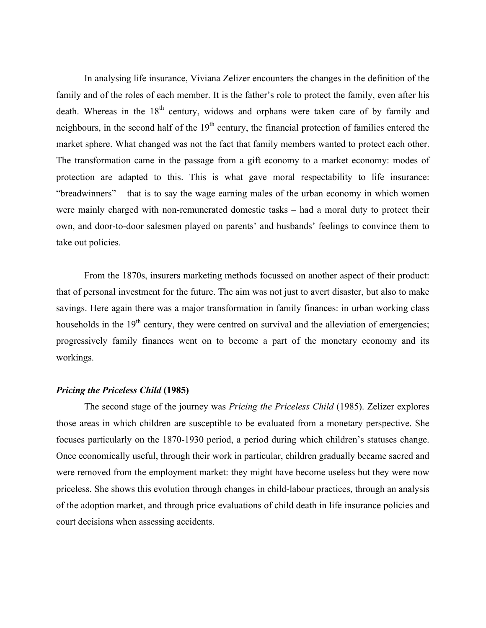In analysing life insurance, Viviana Zelizer encounters the changes in the definition of the family and of the roles of each member. It is the father's role to protect the family, even after his death. Whereas in the  $18<sup>th</sup>$  century, widows and orphans were taken care of by family and neighbours, in the second half of the  $19<sup>th</sup>$  century, the financial protection of families entered the market sphere. What changed was not the fact that family members wanted to protect each other. The transformation came in the passage from a gift economy to a market economy: modes of protection are adapted to this. This is what gave moral respectability to life insurance: "breadwinners" – that is to say the wage earning males of the urban economy in which women were mainly charged with non-remunerated domestic tasks – had a moral duty to protect their own, and door-to-door salesmen played on parents' and husbands' feelings to convince them to take out policies.

From the 1870s, insurers marketing methods focussed on another aspect of their product: that of personal investment for the future. The aim was not just to avert disaster, but also to make savings. Here again there was a major transformation in family finances: in urban working class households in the  $19<sup>th</sup>$  century, they were centred on survival and the alleviation of emergencies; progressively family finances went on to become a part of the monetary economy and its workings.

#### *Pricing the Priceless Child* **(1985)**

The second stage of the journey was *Pricing the Priceless Child* (1985). Zelizer explores those areas in which children are susceptible to be evaluated from a monetary perspective. She focuses particularly on the 1870-1930 period, a period during which children's statuses change. Once economically useful, through their work in particular, children gradually became sacred and were removed from the employment market: they might have become useless but they were now priceless. She shows this evolution through changes in child-labour practices, through an analysis of the adoption market, and through price evaluations of child death in life insurance policies and court decisions when assessing accidents.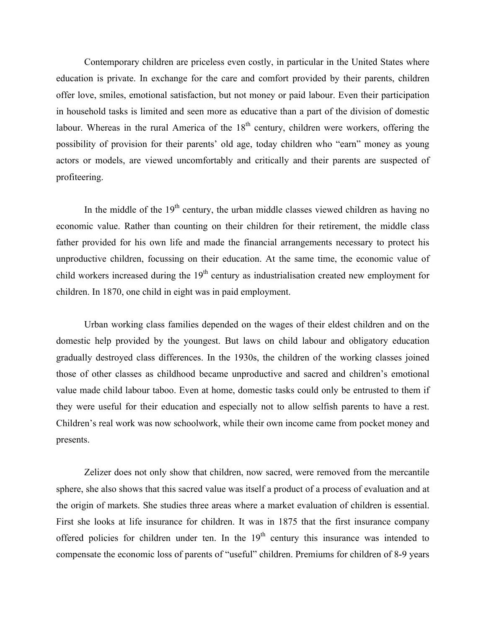Contemporary children are priceless even costly, in particular in the United States where education is private. In exchange for the care and comfort provided by their parents, children offer love, smiles, emotional satisfaction, but not money or paid labour. Even their participation in household tasks is limited and seen more as educative than a part of the division of domestic labour. Whereas in the rural America of the 18<sup>th</sup> century, children were workers, offering the possibility of provision for their parents' old age, today children who "earn" money as young actors or models, are viewed uncomfortably and critically and their parents are suspected of profiteering.

In the middle of the  $19<sup>th</sup>$  century, the urban middle classes viewed children as having no economic value. Rather than counting on their children for their retirement, the middle class father provided for his own life and made the financial arrangements necessary to protect his unproductive children, focussing on their education. At the same time, the economic value of child workers increased during the  $19<sup>th</sup>$  century as industrialisation created new employment for children. In 1870, one child in eight was in paid employment.

Urban working class families depended on the wages of their eldest children and on the domestic help provided by the youngest. But laws on child labour and obligatory education gradually destroyed class differences. In the 1930s, the children of the working classes joined those of other classes as childhood became unproductive and sacred and children's emotional value made child labour taboo. Even at home, domestic tasks could only be entrusted to them if they were useful for their education and especially not to allow selfish parents to have a rest. Children's real work was now schoolwork, while their own income came from pocket money and presents.

Zelizer does not only show that children, now sacred, were removed from the mercantile sphere, she also shows that this sacred value was itself a product of a process of evaluation and at the origin of markets. She studies three areas where a market evaluation of children is essential. First she looks at life insurance for children. It was in 1875 that the first insurance company offered policies for children under ten. In the  $19<sup>th</sup>$  century this insurance was intended to compensate the economic loss of parents of "useful" children. Premiums for children of 8-9 years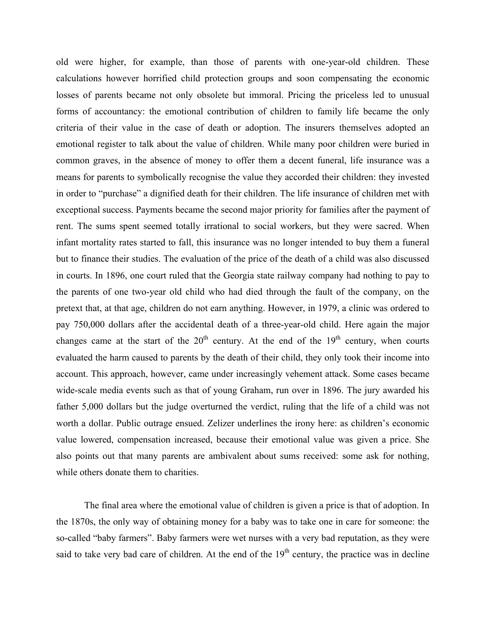old were higher, for example, than those of parents with one-year-old children. These calculations however horrified child protection groups and soon compensating the economic losses of parents became not only obsolete but immoral. Pricing the priceless led to unusual forms of accountancy: the emotional contribution of children to family life became the only criteria of their value in the case of death or adoption. The insurers themselves adopted an emotional register to talk about the value of children. While many poor children were buried in common graves, in the absence of money to offer them a decent funeral, life insurance was a means for parents to symbolically recognise the value they accorded their children: they invested in order to "purchase" a dignified death for their children. The life insurance of children met with exceptional success. Payments became the second major priority for families after the payment of rent. The sums spent seemed totally irrational to social workers, but they were sacred. When infant mortality rates started to fall, this insurance was no longer intended to buy them a funeral but to finance their studies. The evaluation of the price of the death of a child was also discussed in courts. In 1896, one court ruled that the Georgia state railway company had nothing to pay to the parents of one two-year old child who had died through the fault of the company, on the pretext that, at that age, children do not earn anything. However, in 1979, a clinic was ordered to pay 750,000 dollars after the accidental death of a three-year-old child. Here again the major changes came at the start of the  $20<sup>th</sup>$  century. At the end of the  $19<sup>th</sup>$  century, when courts evaluated the harm caused to parents by the death of their child, they only took their income into account. This approach, however, came under increasingly vehement attack. Some cases became wide-scale media events such as that of young Graham, run over in 1896. The jury awarded his father 5,000 dollars but the judge overturned the verdict, ruling that the life of a child was not worth a dollar. Public outrage ensued. Zelizer underlines the irony here: as children's economic value lowered, compensation increased, because their emotional value was given a price. She also points out that many parents are ambivalent about sums received: some ask for nothing, while others donate them to charities.

The final area where the emotional value of children is given a price is that of adoption. In the 1870s, the only way of obtaining money for a baby was to take one in care for someone: the so-called "baby farmers". Baby farmers were wet nurses with a very bad reputation, as they were said to take very bad care of children. At the end of the  $19<sup>th</sup>$  century, the practice was in decline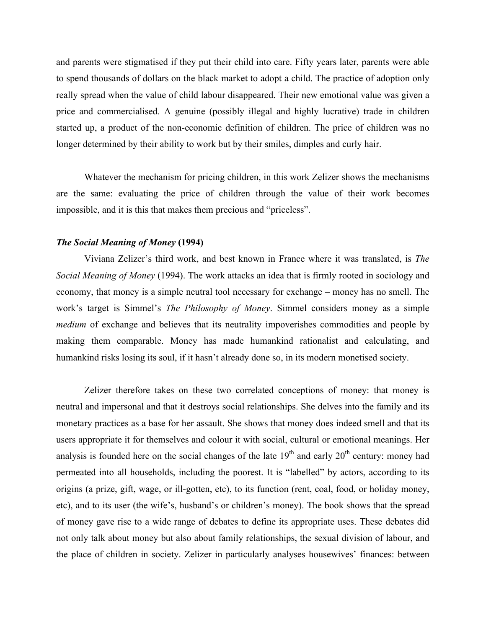and parents were stigmatised if they put their child into care. Fifty years later, parents were able to spend thousands of dollars on the black market to adopt a child. The practice of adoption only really spread when the value of child labour disappeared. Their new emotional value was given a price and commercialised. A genuine (possibly illegal and highly lucrative) trade in children started up, a product of the non-economic definition of children. The price of children was no longer determined by their ability to work but by their smiles, dimples and curly hair.

Whatever the mechanism for pricing children, in this work Zelizer shows the mechanisms are the same: evaluating the price of children through the value of their work becomes impossible, and it is this that makes them precious and "priceless".

### *The Social Meaning of Money* **(1994)**

Viviana Zelizer's third work, and best known in France where it was translated, is *The Social Meaning of Money* (1994). The work attacks an idea that is firmly rooted in sociology and economy, that money is a simple neutral tool necessary for exchange – money has no smell. The work's target is Simmel's *The Philosophy of Money*. Simmel considers money as a simple *medium* of exchange and believes that its neutrality impoverishes commodities and people by making them comparable. Money has made humankind rationalist and calculating, and humankind risks losing its soul, if it hasn't already done so, in its modern monetised society.

Zelizer therefore takes on these two correlated conceptions of money: that money is neutral and impersonal and that it destroys social relationships. She delves into the family and its monetary practices as a base for her assault. She shows that money does indeed smell and that its users appropriate it for themselves and colour it with social, cultural or emotional meanings. Her analysis is founded here on the social changes of the late  $19<sup>th</sup>$  and early  $20<sup>th</sup>$  century: money had permeated into all households, including the poorest. It is "labelled" by actors, according to its origins (a prize, gift, wage, or ill-gotten, etc), to its function (rent, coal, food, or holiday money, etc), and to its user (the wife's, husband's or children's money). The book shows that the spread of money gave rise to a wide range of debates to define its appropriate uses. These debates did not only talk about money but also about family relationships, the sexual division of labour, and the place of children in society. Zelizer in particularly analyses housewives' finances: between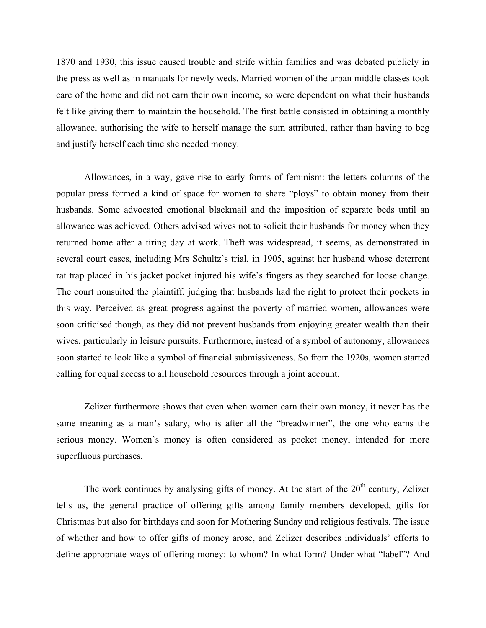1870 and 1930, this issue caused trouble and strife within families and was debated publicly in the press as well as in manuals for newly weds. Married women of the urban middle classes took care of the home and did not earn their own income, so were dependent on what their husbands felt like giving them to maintain the household. The first battle consisted in obtaining a monthly allowance, authorising the wife to herself manage the sum attributed, rather than having to beg and justify herself each time she needed money.

Allowances, in a way, gave rise to early forms of feminism: the letters columns of the popular press formed a kind of space for women to share "ploys" to obtain money from their husbands. Some advocated emotional blackmail and the imposition of separate beds until an allowance was achieved. Others advised wives not to solicit their husbands for money when they returned home after a tiring day at work. Theft was widespread, it seems, as demonstrated in several court cases, including Mrs Schultz's trial, in 1905, against her husband whose deterrent rat trap placed in his jacket pocket injured his wife's fingers as they searched for loose change. The court nonsuited the plaintiff, judging that husbands had the right to protect their pockets in this way. Perceived as great progress against the poverty of married women, allowances were soon criticised though, as they did not prevent husbands from enjoying greater wealth than their wives, particularly in leisure pursuits. Furthermore, instead of a symbol of autonomy, allowances soon started to look like a symbol of financial submissiveness. So from the 1920s, women started calling for equal access to all household resources through a joint account.

Zelizer furthermore shows that even when women earn their own money, it never has the same meaning as a man's salary, who is after all the "breadwinner", the one who earns the serious money. Women's money is often considered as pocket money, intended for more superfluous purchases.

The work continues by analysing gifts of money. At the start of the  $20<sup>th</sup>$  century, Zelizer tells us, the general practice of offering gifts among family members developed, gifts for Christmas but also for birthdays and soon for Mothering Sunday and religious festivals. The issue of whether and how to offer gifts of money arose, and Zelizer describes individuals' efforts to define appropriate ways of offering money: to whom? In what form? Under what "label"? And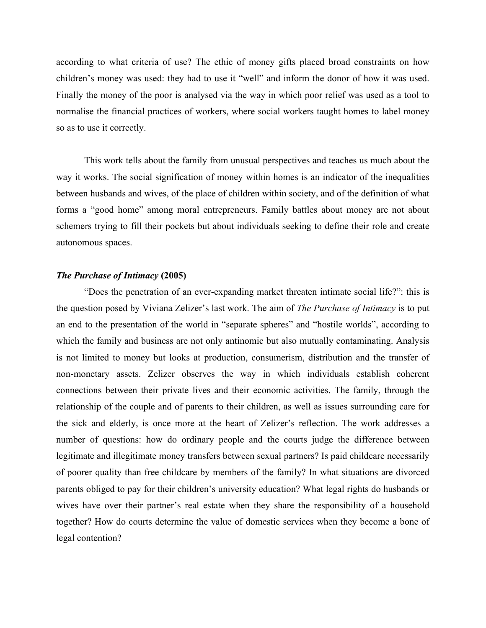according to what criteria of use? The ethic of money gifts placed broad constraints on how children's money was used: they had to use it "well" and inform the donor of how it was used. Finally the money of the poor is analysed via the way in which poor relief was used as a tool to normalise the financial practices of workers, where social workers taught homes to label money so as to use it correctly.

This work tells about the family from unusual perspectives and teaches us much about the way it works. The social signification of money within homes is an indicator of the inequalities between husbands and wives, of the place of children within society, and of the definition of what forms a "good home" among moral entrepreneurs. Family battles about money are not about schemers trying to fill their pockets but about individuals seeking to define their role and create autonomous spaces.

## *The Purchase of Intimacy* **(2005)**

"Does the penetration of an ever-expanding market threaten intimate social life?": this is the question posed by Viviana Zelizer's last work. The aim of *The Purchase of Intimacy* is to put an end to the presentation of the world in "separate spheres" and "hostile worlds", according to which the family and business are not only antinomic but also mutually contaminating. Analysis is not limited to money but looks at production, consumerism, distribution and the transfer of non-monetary assets. Zelizer observes the way in which individuals establish coherent connections between their private lives and their economic activities. The family, through the relationship of the couple and of parents to their children, as well as issues surrounding care for the sick and elderly, is once more at the heart of Zelizer's reflection. The work addresses a number of questions: how do ordinary people and the courts judge the difference between legitimate and illegitimate money transfers between sexual partners? Is paid childcare necessarily of poorer quality than free childcare by members of the family? In what situations are divorced parents obliged to pay for their children's university education? What legal rights do husbands or wives have over their partner's real estate when they share the responsibility of a household together? How do courts determine the value of domestic services when they become a bone of legal contention?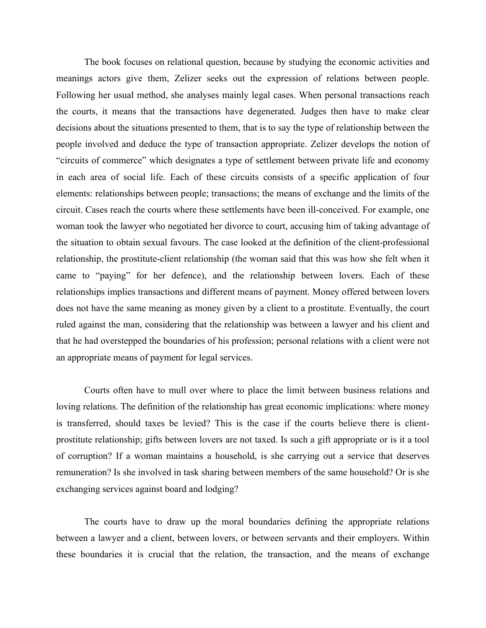The book focuses on relational question, because by studying the economic activities and meanings actors give them, Zelizer seeks out the expression of relations between people. Following her usual method, she analyses mainly legal cases. When personal transactions reach the courts, it means that the transactions have degenerated. Judges then have to make clear decisions about the situations presented to them, that is to say the type of relationship between the people involved and deduce the type of transaction appropriate. Zelizer develops the notion of "circuits of commerce" which designates a type of settlement between private life and economy in each area of social life. Each of these circuits consists of a specific application of four elements: relationships between people; transactions; the means of exchange and the limits of the circuit. Cases reach the courts where these settlements have been ill-conceived. For example, one woman took the lawyer who negotiated her divorce to court, accusing him of taking advantage of the situation to obtain sexual favours. The case looked at the definition of the client-professional relationship, the prostitute-client relationship (the woman said that this was how she felt when it came to "paying" for her defence), and the relationship between lovers. Each of these relationships implies transactions and different means of payment. Money offered between lovers does not have the same meaning as money given by a client to a prostitute. Eventually, the court ruled against the man, considering that the relationship was between a lawyer and his client and that he had overstepped the boundaries of his profession; personal relations with a client were not an appropriate means of payment for legal services.

Courts often have to mull over where to place the limit between business relations and loving relations. The definition of the relationship has great economic implications: where money is transferred, should taxes be levied? This is the case if the courts believe there is clientprostitute relationship; gifts between lovers are not taxed. Is such a gift appropriate or is it a tool of corruption? If a woman maintains a household, is she carrying out a service that deserves remuneration? Is she involved in task sharing between members of the same household? Or is she exchanging services against board and lodging?

The courts have to draw up the moral boundaries defining the appropriate relations between a lawyer and a client, between lovers, or between servants and their employers. Within these boundaries it is crucial that the relation, the transaction, and the means of exchange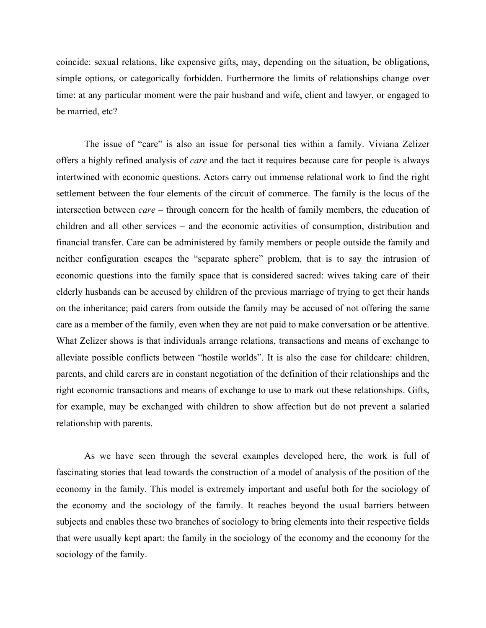coincide: sexual relations, like expensive gifts, may, depending on the situation, be obligations, simple options, or categorically forbidden. Furthermore the limits of relationships change over time: at any particular moment were the pair husband and wife, client and lawyer, or engaged to be married, etc?

The issue of "care" is also an issue for personal ties within a family. Viviana Zelizer offers a highly refined analysis of *care* and the tact it requires because care for people is always intertwined with economic questions. Actors carry out immense relational work to find the right settlement between the four elements of the circuit of commerce. The family is the locus of the intersection between *care* – through concern for the health of family members, the education of children and all other services – and the economic activities of consumption, distribution and financial transfer. Care can be administered by family members or people outside the family and neither configuration escapes the "separate sphere" problem, that is to say the intrusion of economic questions into the family space that is considered sacred: wives taking care of their elderly husbands can be accused by children of the previous marriage of trying to get their hands on the inheritance; paid carers from outside the family may be accused of not offering the same care as a member of the family, even when they are not paid to make conversation or be attentive. What Zelizer shows is that individuals arrange relations, transactions and means of exchange to alleviate possible conflicts between "hostile worlds". It is also the case for childcare: children, parents, and child carers are in constant negotiation of the definition of their relationships and the right economic transactions and means of exchange to use to mark out these relationships. Gifts, for example, may be exchanged with children to show affection but do not prevent a salaried relationship with parents.

As we have seen through the several examples developed here, the work is full of fascinating stories that lead towards the construction of a model of analysis of the position of the economy in the family. This model is extremely important and useful both for the sociology of the economy and the sociology of the family. It reaches beyond the usual barriers between subjects and enables these two branches of sociology to bring elements into their respective fields that were usually kept apart: the family in the sociology of the economy and the economy for the sociology of the family.